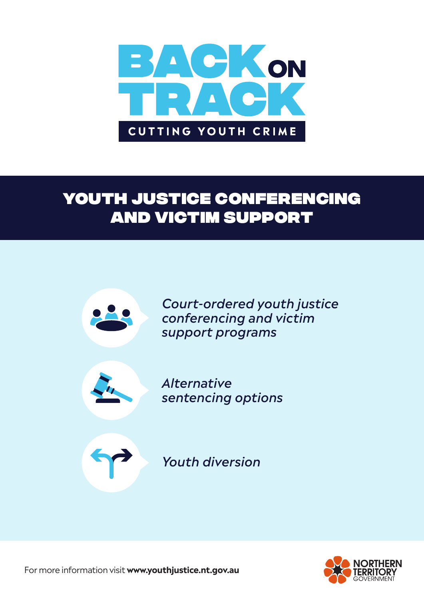

# Youth Justice Conferencing and Victim Support



*Court-ordered youth justice conferencing and victim support programs*



*Alternative sentencing options*



*Youth diversion*